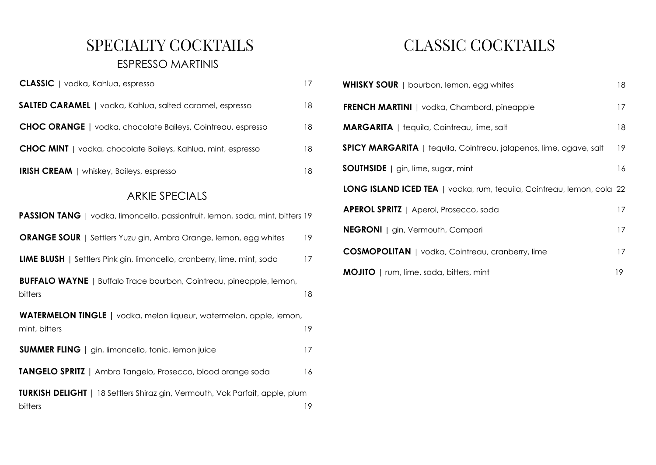### SPECIALTY COCKTAILS ESPRESSO MARTINIS

| <b>CLASSIC</b>   vodka, Kahlua, espresso                            | 17 |
|---------------------------------------------------------------------|----|
| <b>SALTED CARAMEL</b>   vodka, Kahlua, salted caramel, espresso     | 18 |
| <b>CHOC ORANGE</b>   vodka, chocolate Baileys, Cointreau, espresso  | 18 |
| <b>CHOC MINT</b>   vodka, chocolate Baileys, Kahlua, mint, espresso | 18 |
| <b>IRISH CREAM</b>   whiskey, Baileys, espresso                     | 18 |

#### ARKIE SPECIALS

| PASSION TANG   vodka, limoncello, passionfruit, lemon, soda, mint, bitters 19           |    |
|-----------------------------------------------------------------------------------------|----|
| <b>ORANGE SOUR</b>   Settlers Yuzu gin, Ambra Orange, lemon, egg whites                 | 19 |
| <b>LIME BLUSH</b>   Settlers Pink gin, limoncello, cranberry, lime, mint, soda          | 17 |
| <b>BUFFALO WAYNE</b>   Buffalo Trace bourbon, Cointreau, pineapple, lemon,<br>bitters   | 18 |
| WATERMELON TINGLE   vodka, melon liqueur, watermelon, apple, lemon,<br>mint, bitters    | 19 |
| <b>SUMMER FLING</b>   gin, limoncello, tonic, lemon juice                               | 17 |
| TANGELO SPRITZ   Ambra Tangelo, Prosecco, blood orange soda                             | 16 |
| TURKISH DELIGHT   18 Settlers Shiraz gin, Vermouth, Vok Parfait, apple, plum<br>bitters | 19 |

# CLASSIC COCKTAILS

| <b>WHISKY SOUR</b>   bourbon, lemon, egg whites                           | 18 |
|---------------------------------------------------------------------------|----|
| <b>FRENCH MARTINI</b>   vodka, Chambord, pineapple                        | 17 |
| <b>MARGARITA</b>   tequila, Cointreau, lime, salt                         | 18 |
| <b>SPICY MARGARITA</b>   tequila, Cointreau, jalapenos, lime, agave, salt | 19 |
| <b>SOUTHSIDE</b>   gin, lime, sugar, mint                                 | 16 |
| LONG ISLAND ICED TEA   vodka, rum, tequila, Cointreau, lemon, cola 22     |    |
| <b>APEROL SPRITZ</b>   Aperol, Prosecco, soda                             | 17 |
| <b>NEGRONI</b>   gin, Vermouth, Campari                                   | 17 |
| <b>COSMOPOLITAN</b>   vodka, Cointreau, cranberry, lime                   | 17 |
| <b>MOJITO</b>   rum, lime, soda, bitters, mint                            | 19 |